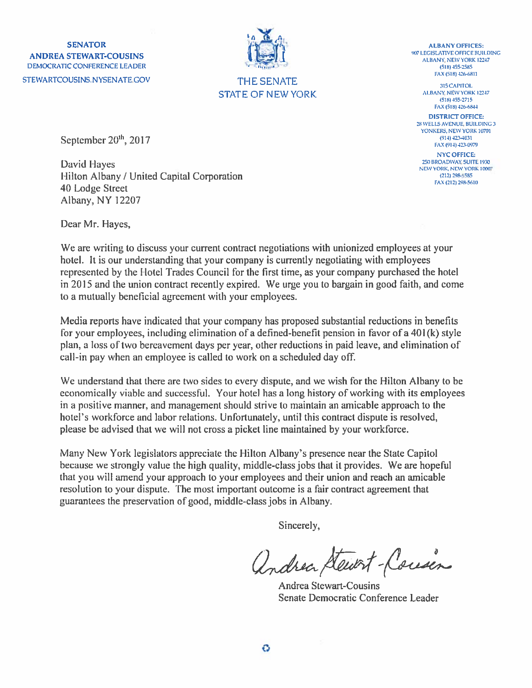**SENATOR ANDREA STEWART-COUSINS** DEMOCRATIC CONFERENCE LEADER STEWARTCOUSINS.NYSENATE GOV



**THE SENATE STATE OF NEW YORK** 

**ALBANY OFFICES:** 907 LEGISLATIVE OFFICE BUILDING ALBANY, NEW YORK 12247  $(518) 455 - 2585$ FAX (518) 426-6811

315 CAPITOL

**ALBANY NEW YORK 12247** (518) 455-2715 FAX (518) 426-6844 **DISTRICT OFFICE:** 28 WELLS AVENUE, BUILDING 3 YONKERS, NEW YORK 10701

 $(914)$  423-4031 FAX (914) 423-0979 **NYC OFFICE:** 250 BROADWAY SUITE 1930

NEW YORK, NEW YORK 10007

(212) 298-5585 FAX (212) 298-5610

September 20<sup>th</sup>, 2017

**David Hayes** Hilton Albany / United Capital Corporation 40 Lodge Street Albany, NY 12207

Dear Mr. Hayes,

We are writing to discuss your current contract negotiations with unionized employees at your hotel. It is our understanding that your company is currently negotiating with employees represented by the Hotel Trades Council for the first time, as your company purchased the hotel in 2015 and the union contract recently expired. We urge you to bargain in good faith, and come to a mutually beneficial agreement with your employees.

Media reports have indicated that your company has proposed substantial reductions in benefits for your employees, including elimination of a defined-benefit pension in favor of a 401(k) style plan, a loss of two bereavement days per year, other reductions in paid leave, and elimination of call-in pay when an employee is called to work on a scheduled day off.

We understand that there are two sides to every dispute, and we wish for the Hilton Albany to be economically viable and successful. Your hotel has a long history of working with its employees in a positive manner, and management should strive to maintain an amicable approach to the hotel's workforce and labor relations. Unfortunately, until this contract dispute is resolved, please be advised that we will not cross a picket line maintained by your workforce.

Many New York legislators appreciate the Hilton Albany's presence near the State Capitol because we strongly value the high quality, middle-class jobs that it provides. We are hopeful that you will amend your approach to your employees and their union and reach an amicable resolution to your dispute. The most important outcome is a fair contract agreement that guarantees the preservation of good, middle-class jobs in Albany.

Sincerely,

Andrea Stewart-Cousin

**Andrea Stewart-Cousins** Senate Democratic Conference Leader